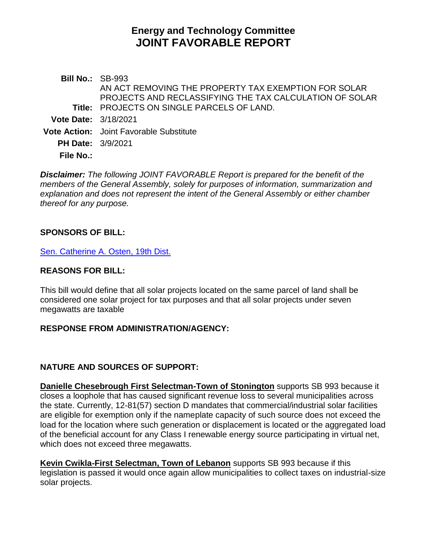# **Energy and Technology Committee JOINT FAVORABLE REPORT**

**Bill No.:** SB-993 **Title:** PROJECTS ON SINGLE PARCELS OF LAND. AN ACT REMOVING THE PROPERTY TAX EXEMPTION FOR SOLAR PROJECTS AND RECLASSIFYING THE TAX CALCULATION OF SOLAR **Vote Date:** 3/18/2021 **Vote Action:** Joint Favorable Substitute **PH Date:** 3/9/2021 **File No.:**

*Disclaimer: The following JOINT FAVORABLE Report is prepared for the benefit of the members of the General Assembly, solely for purposes of information, summarization and explanation and does not represent the intent of the General Assembly or either chamber thereof for any purpose.*

#### **SPONSORS OF BILL:**

[Sen. Catherine A. Osten, 19th Dist.](http://cgalites/asp/CGABillStatus/CGAMemberBills.asp?dist_code=%27S19%27)

#### **REASONS FOR BILL:**

This bill would define that all solar projects located on the same parcel of land shall be considered one solar project for tax purposes and that all solar projects under seven megawatts are taxable

#### **RESPONSE FROM ADMINISTRATION/AGENCY:**

### **NATURE AND SOURCES OF SUPPORT:**

**Danielle Chesebrough First Selectman-Town of Stonington** supports SB 993 because it closes a loophole that has caused significant revenue loss to several municipalities across the state. Currently, 12-81(57) section D mandates that commercial/industrial solar facilities are eligible for exemption only if the nameplate capacity of such source does not exceed the load for the location where such generation or displacement is located or the aggregated load of the beneficial account for any Class I renewable energy source participating in virtual net, which does not exceed three megawatts.

**Kevin Cwikla-First Selectman, Town of Lebanon** supports SB 993 because if this legislation is passed it would once again allow municipalities to collect taxes on industrial-size solar projects.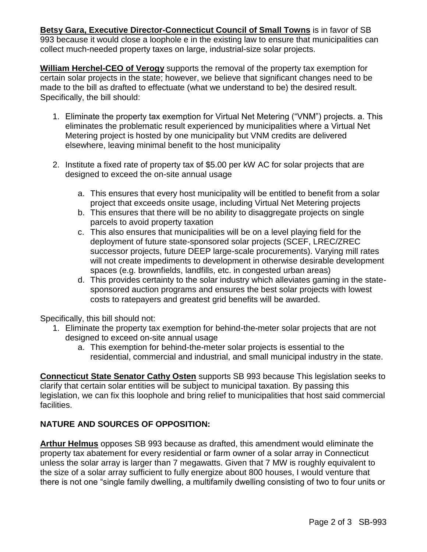**Betsy Gara, Executive Director-Connecticut Council of Small Towns** is in favor of SB 993 because it would close a loophole e in the existing law to ensure that municipalities can collect much-needed property taxes on large, industrial-size solar projects.

**William Herchel-CEO of Verogy** supports the removal of the property tax exemption for certain solar projects in the state; however, we believe that significant changes need to be made to the bill as drafted to effectuate (what we understand to be) the desired result. Specifically, the bill should:

- 1. Eliminate the property tax exemption for Virtual Net Metering ("VNM") projects. a. This eliminates the problematic result experienced by municipalities where a Virtual Net Metering project is hosted by one municipality but VNM credits are delivered elsewhere, leaving minimal benefit to the host municipality
- 2. Institute a fixed rate of property tax of \$5.00 per kW AC for solar projects that are designed to exceed the on-site annual usage
	- a. This ensures that every host municipality will be entitled to benefit from a solar project that exceeds onsite usage, including Virtual Net Metering projects
	- b. This ensures that there will be no ability to disaggregate projects on single parcels to avoid property taxation
	- c. This also ensures that municipalities will be on a level playing field for the deployment of future state-sponsored solar projects (SCEF, LREC/ZREC successor projects, future DEEP large-scale procurements). Varying mill rates will not create impediments to development in otherwise desirable development spaces (e.g. brownfields, landfills, etc. in congested urban areas)
	- d. This provides certainty to the solar industry which alleviates gaming in the statesponsored auction programs and ensures the best solar projects with lowest costs to ratepayers and greatest grid benefits will be awarded.

Specifically, this bill should not:

- 1. Eliminate the property tax exemption for behind-the-meter solar projects that are not designed to exceed on-site annual usage
	- a. This exemption for behind-the-meter solar projects is essential to the residential, commercial and industrial, and small municipal industry in the state.

**Connecticut State Senator Cathy Osten** supports SB 993 because This legislation seeks to clarify that certain solar entities will be subject to municipal taxation. By passing this legislation, we can fix this loophole and bring relief to municipalities that host said commercial facilities.

## **NATURE AND SOURCES OF OPPOSITION:**

**Arthur Helmus** opposes SB 993 because as drafted, this amendment would eliminate the property tax abatement for every residential or farm owner of a solar array in Connecticut unless the solar array is larger than 7 megawatts. Given that 7 MW is roughly equivalent to the size of a solar array sufficient to fully energize about 800 houses, I would venture that there is not one "single family dwelling, a multifamily dwelling consisting of two to four units or